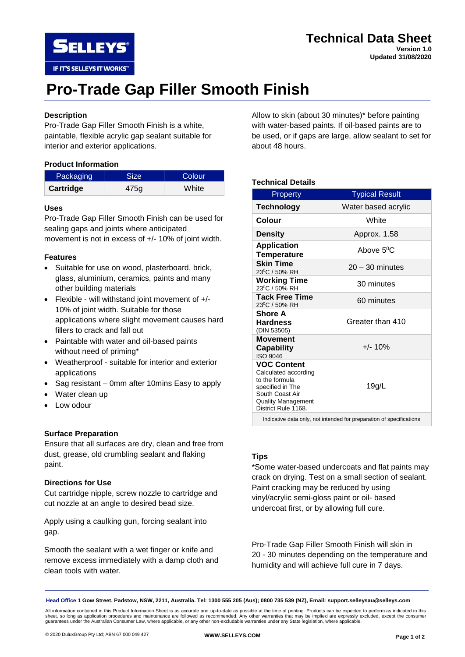

### **Technical Data Sheet**

**Version 1.0 Updated 31/08/2020**

# **Pro-Trade Gap Filler Smooth Finish**

### **Description**

Pro-Trade Gap Filler Smooth Finish is a white, paintable, flexible acrylic gap sealant suitable for interior and exterior applications.

#### **Product Information**

| Packaging | <b>Size</b> | Colour |
|-----------|-------------|--------|
| Cartridge | 475q        | White  |

#### **Uses**

Pro-Trade Gap Filler Smooth Finish can be used for sealing gaps and joints where anticipated movement is not in excess of +/- 10% of joint width.

#### **Features**

- Suitable for use on wood, plasterboard, brick, glass, aluminium, ceramics, paints and many other building materials
- Flexible will withstand joint movement of +/- 10% of joint width. Suitable for those applications where slight movement causes hard fillers to crack and fall out
- Paintable with water and oil-based paints without need of priming\*
- Weatherproof suitable for interior and exterior applications
- Sag resistant 0mm after 10mins Easy to apply
- Water clean up
- Low odour

#### **Surface Preparation**

Ensure that all surfaces are dry, clean and free from dust, grease, old crumbling sealant and flaking paint.

#### **Directions for Use**

Cut cartridge nipple, screw nozzle to cartridge and cut nozzle at an angle to desired bead size.

Apply using a caulking gun, forcing sealant into gap.

Smooth the sealant with a wet finger or knife and remove excess immediately with a damp cloth and clean tools with water.

Allow to skin (about 30 minutes)\* before painting with water-based paints. If oil-based paints are to be used, or if gaps are large, allow sealant to set for about 48 hours.

#### **Technical Details**

| Property                                                                                                                                                | <b>Typical Result</b> |
|---------------------------------------------------------------------------------------------------------------------------------------------------------|-----------------------|
| <b>Technology</b>                                                                                                                                       | Water based acrylic   |
| Colour                                                                                                                                                  | White                 |
| <b>Density</b>                                                                                                                                          | Approx. 1.58          |
| <b>Application</b><br>Temperature                                                                                                                       | Above $5^0C$          |
| <b>Skin Time</b><br>23 <sup>0</sup> C / 50% RH                                                                                                          | $20 - 30$ minutes     |
| <b>Working Time</b><br>23 <sup>0</sup> C / 50% RH                                                                                                       | 30 minutes            |
| <b>Tack Free Time</b><br>23°C / 50% RH                                                                                                                  | 60 minutes            |
| <b>Shore A</b><br><b>Hardness</b><br>(DIN 53505)                                                                                                        | Greater than 410      |
| <b>Movement</b><br><b>Capability</b><br>ISO 9046                                                                                                        | $+/- 10%$             |
| <b>VOC Content</b><br>Calculated according<br>to the formula<br>specified in The<br>South Coast Air<br><b>Quality Management</b><br>District Rule 1168. | 19g/L                 |

Indicative data only, not intended for preparation of specifications

#### **Tips**

\*Some water-based undercoats and flat paints may crack on drying. Test on a small section of sealant. Paint cracking may be reduced by using vinyl/acrylic semi-gloss paint or oil- based undercoat first, or by allowing full cure.

Pro-Trade Gap Filler Smooth Finish will skin in 20 - 30 minutes depending on the temperature and humidity and will achieve full cure in 7 days.

**Head Office 1 Gow Street, Padstow, NSW, 2211, Australia. Tel: 1300 555 205 (Aus); 0800 735 539 (NZ), Email: support.selleysau@selleys.com**

All information contained in this Product Information Sheet is as accurate and up-to-date as possible at the time of printing. Products can be expected to perform as indicated in this sheet, so long as application procedures and maintenance are followed as recommended. Any other warranties that may be implied are expressly excluded, except the consumer guarantees under the Australian Consumer Law, where applicable, or any other non-excludable warranties under any State legislation, where applicable.